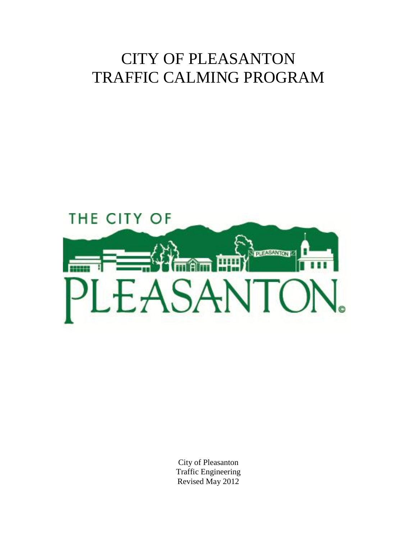# CITY OF PLEASANTON TRAFFIC CALMING PROGRAM



City of Pleasanton Traffic Engineering Revised May 2012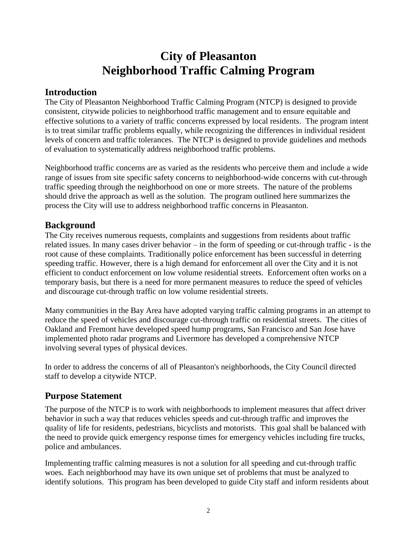## **City of Pleasanton Neighborhood Traffic Calming Program**

### **Introduction**

The City of Pleasanton Neighborhood Traffic Calming Program (NTCP) is designed to provide consistent, citywide policies to neighborhood traffic management and to ensure equitable and effective solutions to a variety of traffic concerns expressed by local residents. The program intent is to treat similar traffic problems equally, while recognizing the differences in individual resident levels of concern and traffic tolerances. The NTCP is designed to provide guidelines and methods of evaluation to systematically address neighborhood traffic problems.

Neighborhood traffic concerns are as varied as the residents who perceive them and include a wide range of issues from site specific safety concerns to neighborhood-wide concerns with cut-through traffic speeding through the neighborhood on one or more streets. The nature of the problems should drive the approach as well as the solution. The program outlined here summarizes the process the City will use to address neighborhood traffic concerns in Pleasanton.

### **Background**

The City receives numerous requests, complaints and suggestions from residents about traffic related issues. In many cases driver behavior – in the form of speeding or cut-through traffic - is the root cause of these complaints. Traditionally police enforcement has been successful in deterring speeding traffic. However, there is a high demand for enforcement all over the City and it is not efficient to conduct enforcement on low volume residential streets. Enforcement often works on a temporary basis, but there is a need for more permanent measures to reduce the speed of vehicles and discourage cut-through traffic on low volume residential streets.

Many communities in the Bay Area have adopted varying traffic calming programs in an attempt to reduce the speed of vehicles and discourage cut-through traffic on residential streets. The cities of Oakland and Fremont have developed speed hump programs, San Francisco and San Jose have implemented photo radar programs and Livermore has developed a comprehensive NTCP involving several types of physical devices.

In order to address the concerns of all of Pleasanton's neighborhoods, the City Council directed staff to develop a citywide NTCP.

### **Purpose Statement**

The purpose of the NTCP is to work with neighborhoods to implement measures that affect driver behavior in such a way that reduces vehicles speeds and cut-through traffic and improves the quality of life for residents, pedestrians, bicyclists and motorists. This goal shall be balanced with the need to provide quick emergency response times for emergency vehicles including fire trucks, police and ambulances.

Implementing traffic calming measures is not a solution for all speeding and cut-through traffic woes. Each neighborhood may have its own unique set of problems that must be analyzed to identify solutions. This program has been developed to guide City staff and inform residents about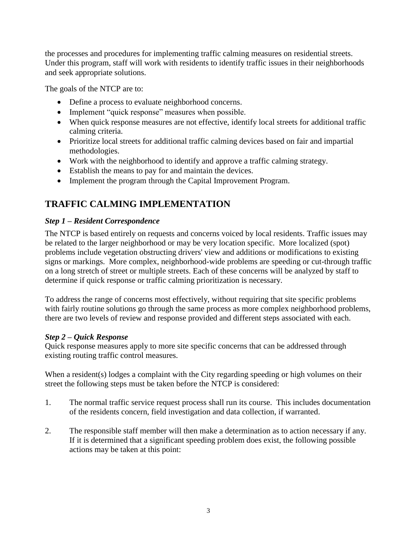the processes and procedures for implementing traffic calming measures on residential streets. Under this program, staff will work with residents to identify traffic issues in their neighborhoods and seek appropriate solutions.

The goals of the NTCP are to:

- Define a process to evaluate neighborhood concerns.
- Implement "quick response" measures when possible.
- When quick response measures are not effective, identify local streets for additional traffic calming criteria.
- Prioritize local streets for additional traffic calming devices based on fair and impartial methodologies.
- Work with the neighborhood to identify and approve a traffic calming strategy.
- Establish the means to pay for and maintain the devices.
- Implement the program through the Capital Improvement Program.

### **TRAFFIC CALMING IMPLEMENTATION**

### *Step 1 – Resident Correspondence*

The NTCP is based entirely on requests and concerns voiced by local residents. Traffic issues may be related to the larger neighborhood or may be very location specific. More localized (spot) problems include vegetation obstructing drivers' view and additions or modifications to existing signs or markings. More complex, neighborhood-wide problems are speeding or cut-through traffic on a long stretch of street or multiple streets. Each of these concerns will be analyzed by staff to determine if quick response or traffic calming prioritization is necessary.

To address the range of concerns most effectively, without requiring that site specific problems with fairly routine solutions go through the same process as more complex neighborhood problems, there are two levels of review and response provided and different steps associated with each.

#### *Step 2 – Quick Response*

Quick response measures apply to more site specific concerns that can be addressed through existing routing traffic control measures.

When a resident(s) lodges a complaint with the City regarding speeding or high volumes on their street the following steps must be taken before the NTCP is considered:

- 1. The normal traffic service request process shall run its course. This includes documentation of the residents concern, field investigation and data collection, if warranted.
- 2. The responsible staff member will then make a determination as to action necessary if any. If it is determined that a significant speeding problem does exist, the following possible actions may be taken at this point: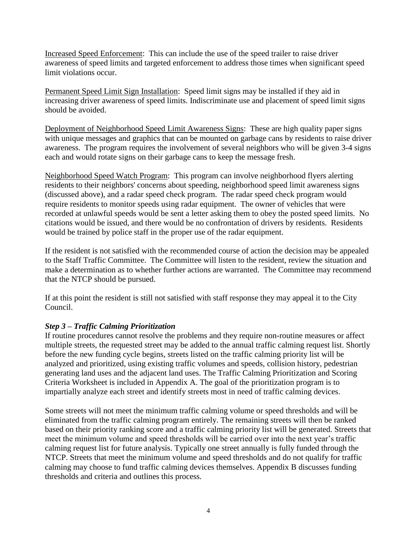Increased Speed Enforcement: This can include the use of the speed trailer to raise driver awareness of speed limits and targeted enforcement to address those times when significant speed limit violations occur.

Permanent Speed Limit Sign Installation: Speed limit signs may be installed if they aid in increasing driver awareness of speed limits. Indiscriminate use and placement of speed limit signs should be avoided.

Deployment of Neighborhood Speed Limit Awareness Signs: These are high quality paper signs with unique messages and graphics that can be mounted on garbage cans by residents to raise driver awareness. The program requires the involvement of several neighbors who will be given 3-4 signs each and would rotate signs on their garbage cans to keep the message fresh.

Neighborhood Speed Watch Program: This program can involve neighborhood flyers alerting residents to their neighbors' concerns about speeding, neighborhood speed limit awareness signs (discussed above), and a radar speed check program. The radar speed check program would require residents to monitor speeds using radar equipment. The owner of vehicles that were recorded at unlawful speeds would be sent a letter asking them to obey the posted speed limits. No citations would be issued, and there would be no confrontation of drivers by residents. Residents would be trained by police staff in the proper use of the radar equipment.

If the resident is not satisfied with the recommended course of action the decision may be appealed to the Staff Traffic Committee. The Committee will listen to the resident, review the situation and make a determination as to whether further actions are warranted. The Committee may recommend that the NTCP should be pursued.

If at this point the resident is still not satisfied with staff response they may appeal it to the City Council.

#### *Step 3 – Traffic Calming Prioritization*

If routine procedures cannot resolve the problems and they require non-routine measures or affect multiple streets, the requested street may be added to the annual traffic calming request list. Shortly before the new funding cycle begins, streets listed on the traffic calming priority list will be analyzed and prioritized, using existing traffic volumes and speeds, collision history, pedestrian generating land uses and the adjacent land uses. The Traffic Calming Prioritization and Scoring Criteria Worksheet is included in Appendix A. The goal of the prioritization program is to impartially analyze each street and identify streets most in need of traffic calming devices.

Some streets will not meet the minimum traffic calming volume or speed thresholds and will be eliminated from the traffic calming program entirely. The remaining streets will then be ranked based on their priority ranking score and a traffic calming priority list will be generated. Streets that meet the minimum volume and speed thresholds will be carried over into the next year's traffic calming request list for future analysis. Typically one street annually is fully funded through the NTCP. Streets that meet the minimum volume and speed thresholds and do not qualify for traffic calming may choose to fund traffic calming devices themselves. Appendix B discusses funding thresholds and criteria and outlines this process.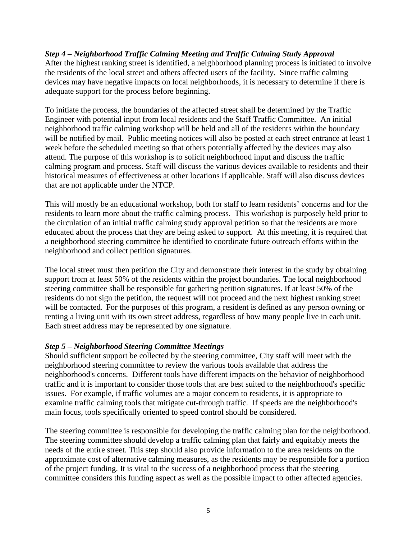#### *Step 4 – Neighborhood Traffic Calming Meeting and Traffic Calming Study Approval*

After the highest ranking street is identified, a neighborhood planning process is initiated to involve the residents of the local street and others affected users of the facility. Since traffic calming devices may have negative impacts on local neighborhoods, it is necessary to determine if there is adequate support for the process before beginning.

To initiate the process, the boundaries of the affected street shall be determined by the Traffic Engineer with potential input from local residents and the Staff Traffic Committee. An initial neighborhood traffic calming workshop will be held and all of the residents within the boundary will be notified by mail. Public meeting notices will also be posted at each street entrance at least 1 week before the scheduled meeting so that others potentially affected by the devices may also attend. The purpose of this workshop is to solicit neighborhood input and discuss the traffic calming program and process. Staff will discuss the various devices available to residents and their historical measures of effectiveness at other locations if applicable. Staff will also discuss devices that are not applicable under the NTCP.

This will mostly be an educational workshop, both for staff to learn residents' concerns and for the residents to learn more about the traffic calming process. This workshop is purposely held prior to the circulation of an initial traffic calming study approval petition so that the residents are more educated about the process that they are being asked to support. At this meeting, it is required that a neighborhood steering committee be identified to coordinate future outreach efforts within the neighborhood and collect petition signatures.

The local street must then petition the City and demonstrate their interest in the study by obtaining support from at least 50% of the residents within the project boundaries. The local neighborhood steering committee shall be responsible for gathering petition signatures. If at least 50% of the residents do not sign the petition, the request will not proceed and the next highest ranking street will be contacted. For the purposes of this program, a resident is defined as any person owning or renting a living unit with its own street address, regardless of how many people live in each unit. Each street address may be represented by one signature.

#### *Step 5 – Neighborhood Steering Committee Meetings*

Should sufficient support be collected by the steering committee, City staff will meet with the neighborhood steering committee to review the various tools available that address the neighborhood's concerns. Different tools have different impacts on the behavior of neighborhood traffic and it is important to consider those tools that are best suited to the neighborhood's specific issues. For example, if traffic volumes are a major concern to residents, it is appropriate to examine traffic calming tools that mitigate cut-through traffic. If speeds are the neighborhood's main focus, tools specifically oriented to speed control should be considered.

The steering committee is responsible for developing the traffic calming plan for the neighborhood. The steering committee should develop a traffic calming plan that fairly and equitably meets the needs of the entire street. This step should also provide information to the area residents on the approximate cost of alternative calming measures, as the residents may be responsible for a portion of the project funding. It is vital to the success of a neighborhood process that the steering committee considers this funding aspect as well as the possible impact to other affected agencies.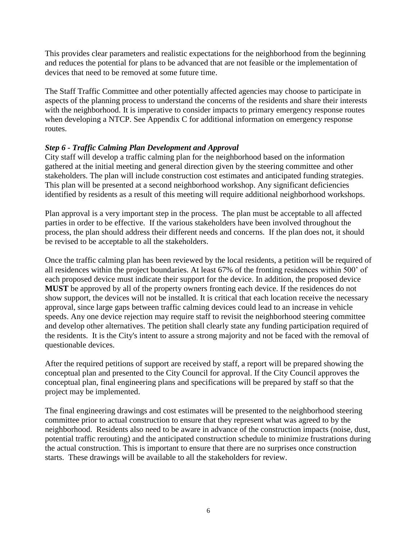This provides clear parameters and realistic expectations for the neighborhood from the beginning and reduces the potential for plans to be advanced that are not feasible or the implementation of devices that need to be removed at some future time.

The Staff Traffic Committee and other potentially affected agencies may choose to participate in aspects of the planning process to understand the concerns of the residents and share their interests with the neighborhood. It is imperative to consider impacts to primary emergency response routes when developing a NTCP. See Appendix C for additional information on emergency response routes.

#### *Step 6 - Traffic Calming Plan Development and Approval*

City staff will develop a traffic calming plan for the neighborhood based on the information gathered at the initial meeting and general direction given by the steering committee and other stakeholders. The plan will include construction cost estimates and anticipated funding strategies. This plan will be presented at a second neighborhood workshop. Any significant deficiencies identified by residents as a result of this meeting will require additional neighborhood workshops.

Plan approval is a very important step in the process. The plan must be acceptable to all affected parties in order to be effective. If the various stakeholders have been involved throughout the process, the plan should address their different needs and concerns. If the plan does not, it should be revised to be acceptable to all the stakeholders.

Once the traffic calming plan has been reviewed by the local residents, a petition will be required of all residences within the project boundaries. At least 67% of the fronting residences within 500' of each proposed device must indicate their support for the device. In addition, the proposed device **MUST** be approved by all of the property owners fronting each device. If the residences do not show support, the devices will not be installed. It is critical that each location receive the necessary approval, since large gaps between traffic calming devices could lead to an increase in vehicle speeds. Any one device rejection may require staff to revisit the neighborhood steering committee and develop other alternatives. The petition shall clearly state any funding participation required of the residents. It is the City's intent to assure a strong majority and not be faced with the removal of questionable devices.

After the required petitions of support are received by staff, a report will be prepared showing the conceptual plan and presented to the City Council for approval. If the City Council approves the conceptual plan, final engineering plans and specifications will be prepared by staff so that the project may be implemented.

The final engineering drawings and cost estimates will be presented to the neighborhood steering committee prior to actual construction to ensure that they represent what was agreed to by the neighborhood. Residents also need to be aware in advance of the construction impacts (noise, dust, potential traffic rerouting) and the anticipated construction schedule to minimize frustrations during the actual construction. This is important to ensure that there are no surprises once construction starts. These drawings will be available to all the stakeholders for review.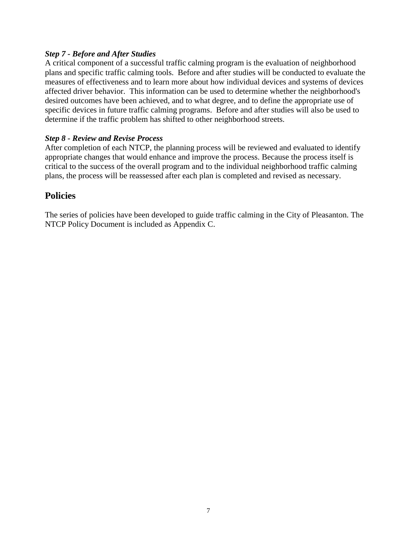#### *Step 7 - Before and After Studies*

A critical component of a successful traffic calming program is the evaluation of neighborhood plans and specific traffic calming tools. Before and after studies will be conducted to evaluate the measures of effectiveness and to learn more about how individual devices and systems of devices affected driver behavior. This information can be used to determine whether the neighborhood's desired outcomes have been achieved, and to what degree, and to define the appropriate use of specific devices in future traffic calming programs. Before and after studies will also be used to determine if the traffic problem has shifted to other neighborhood streets.

#### *Step 8 - Review and Revise Process*

After completion of each NTCP, the planning process will be reviewed and evaluated to identify appropriate changes that would enhance and improve the process. Because the process itself is critical to the success of the overall program and to the individual neighborhood traffic calming plans, the process will be reassessed after each plan is completed and revised as necessary.

### **Policies**

The series of policies have been developed to guide traffic calming in the City of Pleasanton. The NTCP Policy Document is included as Appendix C.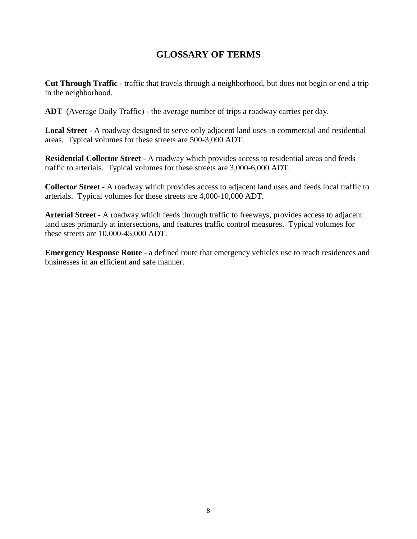### **GLOSSARY OF TERMS**

**Cut Through Traffic** - traffic that travels through a neighborhood, but does not begin or end a trip in the neighborhood.

**ADT** (Average Daily Traffic) - the average number of trips a roadway carries per day.

**Local Street** - A roadway designed to serve only adjacent land uses in commercial and residential areas. Typical volumes for these streets are 500-3,000 ADT.

**Residential Collector Street** - A roadway which provides access to residential areas and feeds traffic to arterials. Typical volumes for these streets are 3,000-6,000 ADT.

**Collector Street** - A roadway which provides access to adjacent land uses and feeds local traffic to arterials. Typical volumes for these streets are 4,000-10,000 ADT.

**Arterial Street** - A roadway which feeds through traffic to freeways, provides access to adjacent land uses primarily at intersections, and features traffic control measures. Typical volumes for these streets are 10,000-45,000 ADT.

**Emergency Response Route** - a defined route that emergency vehicles use to reach residences and businesses in an efficient and safe manner.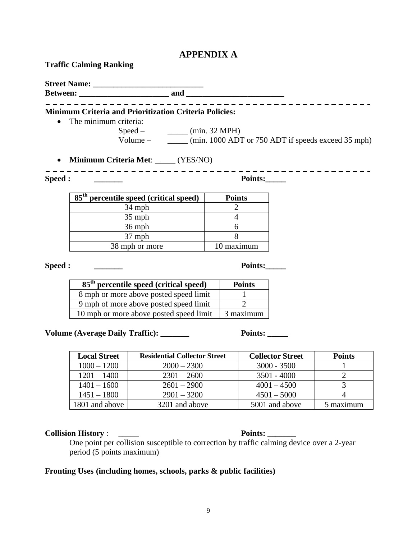### **APPENDIX A**

| <b>Traffic Calming Ranking</b> |  |
|--------------------------------|--|
|--------------------------------|--|

| <b>Minimum Criteria and Prioritization Criteria Policies:</b>   |                         |                |                                                                      |
|-----------------------------------------------------------------|-------------------------|----------------|----------------------------------------------------------------------|
| The minimum criteria:                                           |                         |                |                                                                      |
|                                                                 | $Speed -$ (min. 32 MPH) |                |                                                                      |
|                                                                 |                         |                | Volume – ________ (min. 1000 ADT or 750 ADT if speeds exceed 35 mph) |
| Minimum Criteria Met: _____ (YES/NO)<br>$\bullet$               |                         |                |                                                                      |
|                                                                 |                         |                |                                                                      |
| Speed :                                                         |                         | Points:        |                                                                      |
| $\overline{85}$ <sup>th</sup> percentile speed (critical speed) |                         | <b>Points</b>  |                                                                      |
| 34 mph                                                          |                         | $\overline{2}$ |                                                                      |
| $35$ mph                                                        |                         | $\overline{4}$ |                                                                      |
| $36$ mph                                                        |                         | 6              |                                                                      |
| 37 mph                                                          |                         | 8              |                                                                      |
| 38 mph or more                                                  |                         | 10 maximum     |                                                                      |
|                                                                 |                         |                |                                                                      |
| Speed :                                                         |                         | Points:        |                                                                      |
| 85 <sup>th</sup> percentile speed (critical speed)              |                         | <b>Points</b>  |                                                                      |
| 8 mph or more above posted speed limit                          |                         | $\mathbf{1}$   |                                                                      |
| 9 mph of more above posted speed limit                          |                         | $\overline{2}$ |                                                                      |
| 10 mph or more above posted speed limit                         |                         | 3 maximum      |                                                                      |
|                                                                 |                         |                |                                                                      |
| Volume (Average Daily Traffic): ______                          |                         | <b>Points:</b> |                                                                      |
|                                                                 |                         |                |                                                                      |

| <b>Local Street</b> | <b>Residential Collector Street</b> | <b>Collector Street</b> | <b>Points</b> |
|---------------------|-------------------------------------|-------------------------|---------------|
| $1000 - 1200$       | $2000 - 2300$                       | $3000 - 3500$           |               |
| $1201 - 1400$       | $2301 - 2600$                       | $3501 - 4000$           |               |
| $1401 - 1600$       | $2601 - 2900$                       | $4001 - 4500$           |               |
| $1451 - 1800$       | $2901 - 3200$                       | $4501 - 5000$           |               |
| 1801 and above      | 3201 and above                      | 5001 and above          | 5 maximum     |

**Collision History** : \_\_\_\_\_ **Points: \_\_\_\_\_\_\_**

One point per collision susceptible to correction by traffic calming device over a 2-year period (5 points maximum)

### **Fronting Uses (including homes, schools, parks & public facilities)**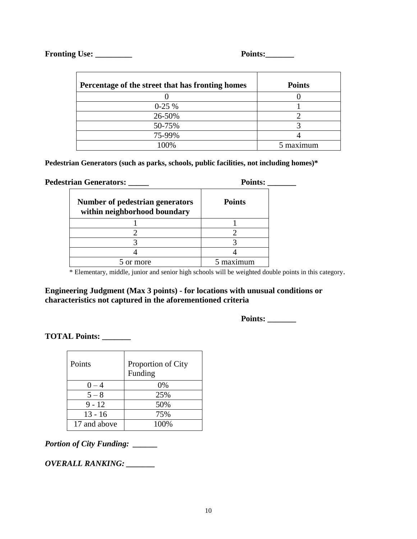#### **Fronting Use: \_\_\_\_\_\_\_\_\_ Points:\_\_\_\_\_\_\_**

| Percentage of the street that has fronting homes | <b>Points</b> |
|--------------------------------------------------|---------------|
|                                                  |               |
| $0-25%$                                          |               |
| 26-50%                                           |               |
| 50-75%                                           |               |
| 75-99%                                           |               |
| 100%                                             | 5 maximum     |

**Pedestrian Generators (such as parks, schools, public facilities, not including homes)\***

| <b>Pedestrian Generators: ___</b> |                                                                        | <b>Points:</b> |
|-----------------------------------|------------------------------------------------------------------------|----------------|
|                                   | <b>Number of pedestrian generators</b><br>within neighborhood boundary | <b>Points</b>  |
|                                   |                                                                        |                |
|                                   |                                                                        |                |
|                                   |                                                                        |                |
|                                   |                                                                        |                |
|                                   | 5 or more                                                              | maximum        |

\* Elementary, middle, junior and senior high schools will be weighted double points in this category.

#### **Engineering Judgment (Max 3 points) - for locations with unusual conditions or characteristics not captured in the aforementioned criteria**

**Points: \_\_\_\_\_\_\_**

**TOTAL Points: \_\_\_\_\_\_\_**

| Points       | Proportion of City<br>Funding |
|--------------|-------------------------------|
| $0 - 4$      | 0%                            |
| $5 - 8$      | 25%                           |
| $9 - 12$     | 50%                           |
| $13 - 16$    | 75%                           |
| 17 and above | 100%                          |

*Portion of City Funding: \_\_\_\_\_\_*

*OVERALL RANKING: \_\_\_\_\_\_\_*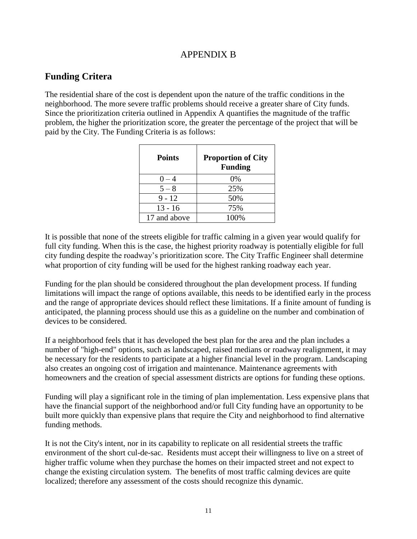### APPENDIX B

### **Funding Critera**

The residential share of the cost is dependent upon the nature of the traffic conditions in the neighborhood. The more severe traffic problems should receive a greater share of City funds. Since the prioritization criteria outlined in Appendix A quantifies the magnitude of the traffic problem, the higher the prioritization score, the greater the percentage of the project that will be paid by the City. The Funding Criteria is as follows:

| <b>Points</b> | <b>Proportion of City</b><br><b>Funding</b> |
|---------------|---------------------------------------------|
| $0 - 4$       | 0%                                          |
| $5 - 8$       | 25%                                         |
| $9 - 12$      | 50%                                         |
| $13 - 16$     | 75%                                         |
| 17 and above  | 100%                                        |

It is possible that none of the streets eligible for traffic calming in a given year would qualify for full city funding. When this is the case, the highest priority roadway is potentially eligible for full city funding despite the roadway's prioritization score. The City Traffic Engineer shall determine what proportion of city funding will be used for the highest ranking roadway each year.

Funding for the plan should be considered throughout the plan development process. If funding limitations will impact the range of options available, this needs to be identified early in the process and the range of appropriate devices should reflect these limitations. If a finite amount of funding is anticipated, the planning process should use this as a guideline on the number and combination of devices to be considered.

If a neighborhood feels that it has developed the best plan for the area and the plan includes a number of "high-end" options, such as landscaped, raised medians or roadway realignment, it may be necessary for the residents to participate at a higher financial level in the program. Landscaping also creates an ongoing cost of irrigation and maintenance. Maintenance agreements with homeowners and the creation of special assessment districts are options for funding these options.

Funding will play a significant role in the timing of plan implementation. Less expensive plans that have the financial support of the neighborhood and/or full City funding have an opportunity to be built more quickly than expensive plans that require the City and neighborhood to find alternative funding methods.

It is not the City's intent, nor in its capability to replicate on all residential streets the traffic environment of the short cul-de-sac. Residents must accept their willingness to live on a street of higher traffic volume when they purchase the homes on their impacted street and not expect to change the existing circulation system. The benefits of most traffic calming devices are quite localized; therefore any assessment of the costs should recognize this dynamic.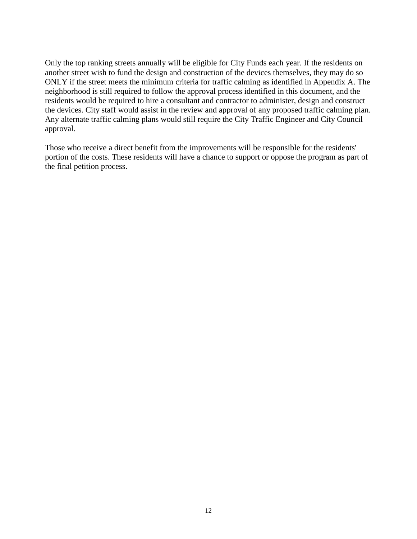Only the top ranking streets annually will be eligible for City Funds each year. If the residents on another street wish to fund the design and construction of the devices themselves, they may do so ONLY if the street meets the minimum criteria for traffic calming as identified in Appendix A. The neighborhood is still required to follow the approval process identified in this document, and the residents would be required to hire a consultant and contractor to administer, design and construct the devices. City staff would assist in the review and approval of any proposed traffic calming plan. Any alternate traffic calming plans would still require the City Traffic Engineer and City Council approval.

Those who receive a direct benefit from the improvements will be responsible for the residents' portion of the costs. These residents will have a chance to support or oppose the program as part of the final petition process.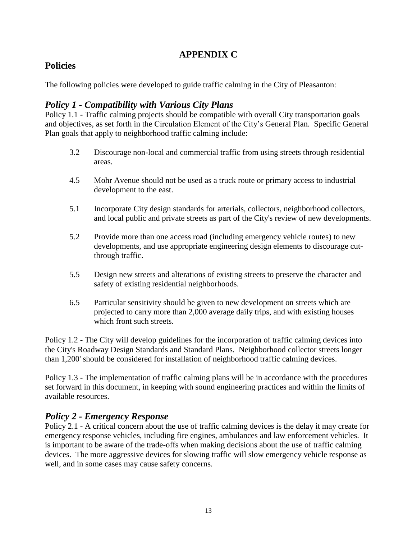### **APPENDIX C**

### **Policies**

The following policies were developed to guide traffic calming in the City of Pleasanton:

### *Policy 1 - Compatibility with Various City Plans*

Policy 1.1 - Traffic calming projects should be compatible with overall City transportation goals and objectives, as set forth in the Circulation Element of the City's General Plan. Specific General Plan goals that apply to neighborhood traffic calming include:

- 3.2 Discourage non-local and commercial traffic from using streets through residential areas.
- 4.5 Mohr Avenue should not be used as a truck route or primary access to industrial development to the east.
- 5.1 Incorporate City design standards for arterials, collectors, neighborhood collectors, and local public and private streets as part of the City's review of new developments.
- 5.2 Provide more than one access road (including emergency vehicle routes) to new developments, and use appropriate engineering design elements to discourage cutthrough traffic.
- 5.5 Design new streets and alterations of existing streets to preserve the character and safety of existing residential neighborhoods.
- 6.5 Particular sensitivity should be given to new development on streets which are projected to carry more than 2,000 average daily trips, and with existing houses which front such streets.

Policy 1.2 - The City will develop guidelines for the incorporation of traffic calming devices into the City's Roadway Design Standards and Standard Plans. Neighborhood collector streets longer than 1,200' should be considered for installation of neighborhood traffic calming devices.

Policy 1.3 - The implementation of traffic calming plans will be in accordance with the procedures set forward in this document, in keeping with sound engineering practices and within the limits of available resources.

### *Policy 2 - Emergency Response*

Policy 2.1 - A critical concern about the use of traffic calming devices is the delay it may create for emergency response vehicles, including fire engines, ambulances and law enforcement vehicles. It is important to be aware of the trade-offs when making decisions about the use of traffic calming devices. The more aggressive devices for slowing traffic will slow emergency vehicle response as well, and in some cases may cause safety concerns.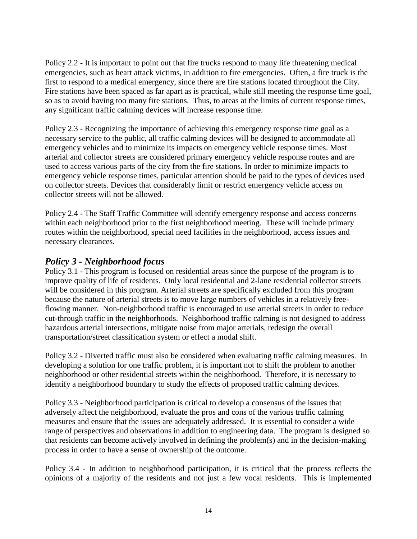Policy 2.2 - It is important to point out that fire trucks respond to many life threatening medical emergencies, such as heart attack victims, in addition to fire emergencies. Often, a fire truck is the first to respond to a medical emergency, since there are fire stations located throughout the City. Fire stations have been spaced as far apart as is practical, while still meeting the response time goal, so as to avoid having too many fire stations. Thus, to areas at the limits of current response times, any significant traffic calming devices will increase response time.

Policy 2.3 - Recognizing the importance of achieving this emergency response time goal as a necessary service to the public, all traffic calming devices will be designed to accommodate all emergency vehicles and to minimize its impacts on emergency vehicle response times. Most arterial and collector streets are considered primary emergency vehicle response routes and are used to access various parts of the city from the fire stations. In order to minimize impacts to emergency vehicle response times, particular attention should be paid to the types of devices used on collector streets. Devices that considerably limit or restrict emergency vehicle access on collector streets will not be allowed.

Policy 2.4 - The Staff Traffic Committee will identify emergency response and access concerns within each neighborhood prior to the first neighborhood meeting. These will include primary routes within the neighborhood, special need facilities in the neighborhood, access issues and necessary clearances.

### *Policy 3 - Neighborhood focus*

Policy 3.1 - This program is focused on residential areas since the purpose of the program is to improve quality of life of residents. Only local residential and 2-lane residential collector streets will be considered in this program. Arterial streets are specifically excluded from this program because the nature of arterial streets is to move large numbers of vehicles in a relatively freeflowing manner. Non-neighborhood traffic is encouraged to use arterial streets in order to reduce cut-through traffic in the neighborhoods. Neighborhood traffic calming is not designed to address hazardous arterial intersections, mitigate noise from major arterials, redesign the overall transportation/street classification system or effect a modal shift.

Policy 3.2 - Diverted traffic must also be considered when evaluating traffic calming measures. In developing a solution for one traffic problem, it is important not to shift the problem to another neighborhood or other residential streets within the neighborhood. Therefore, it is necessary to identify a neighborhood boundary to study the effects of proposed traffic calming devices.

Policy 3.3 - Neighborhood participation is critical to develop a consensus of the issues that adversely affect the neighborhood, evaluate the pros and cons of the various traffic calming measures and ensure that the issues are adequately addressed. It is essential to consider a wide range of perspectives and observations in addition to engineering data. The program is designed so that residents can become actively involved in defining the problem(s) and in the decision-making process in order to have a sense of ownership of the outcome.

Policy 3.4 - In addition to neighborhood participation, it is critical that the process reflects the opinions of a majority of the residents and not just a few vocal residents. This is implemented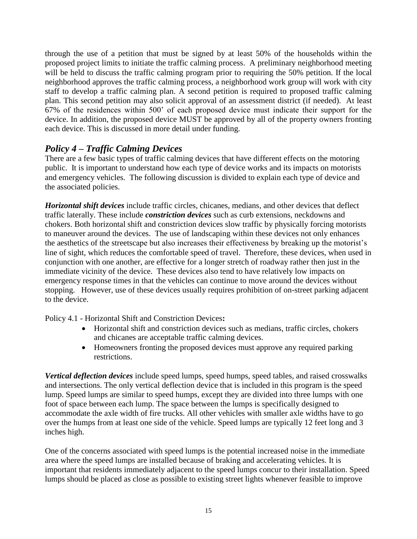through the use of a petition that must be signed by at least 50% of the households within the proposed project limits to initiate the traffic calming process. A preliminary neighborhood meeting will be held to discuss the traffic calming program prior to requiring the 50% petition. If the local neighborhood approves the traffic calming process, a neighborhood work group will work with city staff to develop a traffic calming plan. A second petition is required to proposed traffic calming plan. This second petition may also solicit approval of an assessment district (if needed). At least 67% of the residences within 500' of each proposed device must indicate their support for the device. In addition, the proposed device MUST be approved by all of the property owners fronting each device. This is discussed in more detail under funding.

### *Policy 4 – Traffic Calming Devices*

There are a few basic types of traffic calming devices that have different effects on the motoring public. It is important to understand how each type of device works and its impacts on motorists and emergency vehicles. The following discussion is divided to explain each type of device and the associated policies.

*Horizontal shift devices* include traffic circles, chicanes, medians, and other devices that deflect traffic laterally. These include *constriction devices* such as curb extensions, neckdowns and chokers. Both horizontal shift and constriction devices slow traffic by physically forcing motorists to maneuver around the devices. The use of landscaping within these devices not only enhances the aesthetics of the streetscape but also increases their effectiveness by breaking up the motorist's line of sight, which reduces the comfortable speed of travel. Therefore, these devices, when used in conjunction with one another, are effective for a longer stretch of roadway rather then just in the immediate vicinity of the device. These devices also tend to have relatively low impacts on emergency response times in that the vehicles can continue to move around the devices without stopping. However, use of these devices usually requires prohibition of on-street parking adjacent to the device.

Policy 4.1 - Horizontal Shift and Constriction Devices**:**

- Horizontal shift and constriction devices such as medians, traffic circles, chokers and chicanes are acceptable traffic calming devices.
- Homeowners fronting the proposed devices must approve any required parking restrictions.

*Vertical deflection devices* include speed lumps, speed humps, speed tables, and raised crosswalks and intersections. The only vertical deflection device that is included in this program is the speed lump. Speed lumps are similar to speed humps, except they are divided into three lumps with one foot of space between each lump. The space between the lumps is specifically designed to accommodate the axle width of fire trucks. All other vehicles with smaller axle widths have to go over the humps from at least one side of the vehicle. Speed lumps are typically 12 feet long and 3 inches high.

One of the concerns associated with speed lumps is the potential increased noise in the immediate area where the speed lumps are installed because of braking and accelerating vehicles. It is important that residents immediately adjacent to the speed lumps concur to their installation. Speed lumps should be placed as close as possible to existing street lights whenever feasible to improve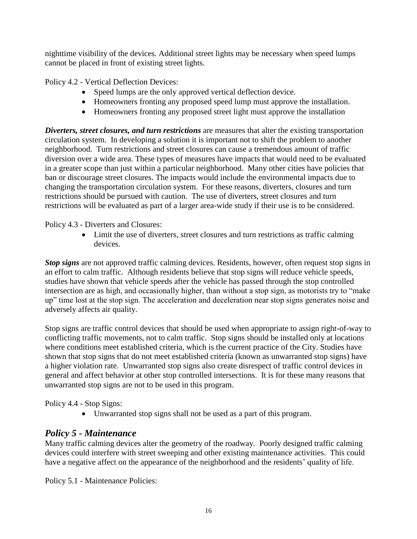nighttime visibility of the devices. Additional street lights may be necessary when speed lumps cannot be placed in front of existing street lights.

Policy 4.2 - Vertical Deflection Devices:

- Speed lumps are the only approved vertical deflection device.
- Homeowners fronting any proposed speed lump must approve the installation.
- Homeowners fronting any proposed street light must approve the installation

*Diverters, street closures, and turn restrictions* are measures that alter the existing transportation circulation system. In developing a solution it is important not to shift the problem to another neighborhood. Turn restrictions and street closures can cause a tremendous amount of traffic diversion over a wide area. These types of measures have impacts that would need to be evaluated in a greater scope than just within a particular neighborhood. Many other cities have policies that ban or discourage street closures. The impacts would include the environmental impacts due to changing the transportation circulation system. For these reasons, diverters, closures and turn restrictions should be pursued with caution. The use of diverters, street closures and turn restrictions will be evaluated as part of a larger area-wide study if their use is to be considered.

Policy 4.3 - Diverters and Closures:

 Limit the use of diverters, street closures and turn restrictions as traffic calming devices.

*Stop signs* are not approved traffic calming devices. Residents, however, often request stop signs in an effort to calm traffic. Although residents believe that stop signs will reduce vehicle speeds, studies have shown that vehicle speeds after the vehicle has passed through the stop controlled intersection are as high, and occasionally higher, than without a stop sign, as motorists try to "make up" time lost at the stop sign. The acceleration and deceleration near stop signs generates noise and adversely affects air quality.

Stop signs are traffic control devices that should be used when appropriate to assign right-of-way to conflicting traffic movements, not to calm traffic. Stop signs should be installed only at locations where conditions meet established criteria, which is the current practice of the City. Studies have shown that stop signs that do not meet established criteria (known as unwarranted stop signs) have a higher violation rate. Unwarranted stop signs also create disrespect of traffic control devices in general and affect behavior at other stop controlled intersections. It is for these many reasons that unwarranted stop signs are not to be used in this program.

Policy 4.4 - Stop Signs:

Unwarranted stop signs shall not be used as a part of this program.

### *Policy 5 - Maintenance*

Many traffic calming devices alter the geometry of the roadway. Poorly designed traffic calming devices could interfere with street sweeping and other existing maintenance activities. This could have a negative affect on the appearance of the neighborhood and the residents' quality of life.

Policy 5.1 - Maintenance Policies: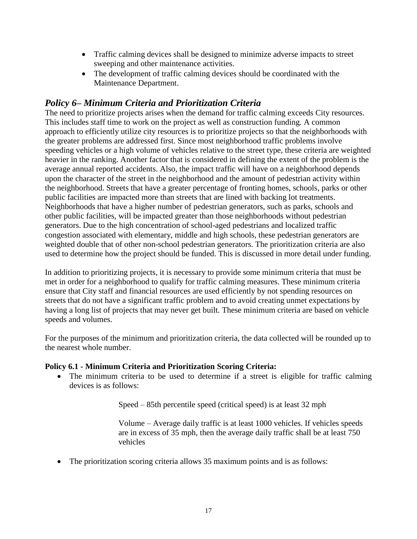- Traffic calming devices shall be designed to minimize adverse impacts to street sweeping and other maintenance activities.
- The development of traffic calming devices should be coordinated with the Maintenance Department.

#### *Policy 6– Minimum Criteria and Prioritization Criteria*

The need to prioritize projects arises when the demand for traffic calming exceeds City resources. This includes staff time to work on the project as well as construction funding. A common approach to efficiently utilize city resources is to prioritize projects so that the neighborhoods with the greater problems are addressed first. Since most neighborhood traffic problems involve speeding vehicles or a high volume of vehicles relative to the street type, these criteria are weighted heavier in the ranking. Another factor that is considered in defining the extent of the problem is the average annual reported accidents. Also, the impact traffic will have on a neighborhood depends upon the character of the street in the neighborhood and the amount of pedestrian activity within the neighborhood. Streets that have a greater percentage of fronting homes, schools, parks or other public facilities are impacted more than streets that are lined with backing lot treatments. Neighborhoods that have a higher number of pedestrian generators, such as parks, schools and other public facilities, will be impacted greater than those neighborhoods without pedestrian generators. Due to the high concentration of school-aged pedestrians and localized traffic congestion associated with elementary, middle and high schools, these pedestrian generators are weighted double that of other non-school pedestrian generators. The prioritization criteria are also used to determine how the project should be funded. This is discussed in more detail under funding.

In addition to prioritizing projects, it is necessary to provide some minimum criteria that must be met in order for a neighborhood to qualify for traffic calming measures. These minimum criteria ensure that City staff and financial resources are used efficiently by not spending resources on streets that do not have a significant traffic problem and to avoid creating unmet expectations by having a long list of projects that may never get built. These minimum criteria are based on vehicle speeds and volumes.

For the purposes of the minimum and prioritization criteria, the data collected will be rounded up to the nearest whole number.

#### **Policy 6.1 - Minimum Criteria and Prioritization Scoring Criteria:**

• The minimum criteria to be used to determine if a street is eligible for traffic calming devices is as follows:

Speed – 85th percentile speed (critical speed) is at least 32 mph

Volume – Average daily traffic is at least 1000 vehicles. If vehicles speeds are in excess of 35 mph, then the average daily traffic shall be at least 750 vehicles

• The prioritization scoring criteria allows 35 maximum points and is as follows: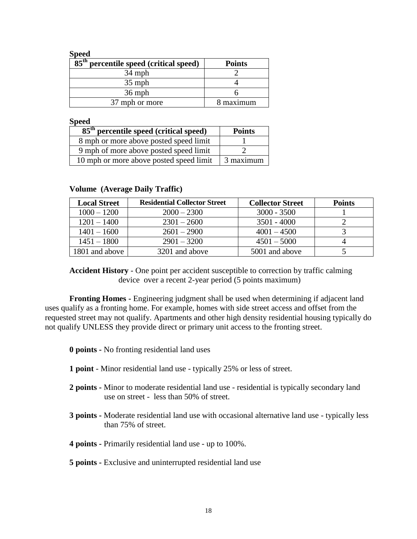| <br>I |
|-------|
|-------|

| $85^{\text{th}}$<br>percentile speed (critical speed) | <b>Points</b> |
|-------------------------------------------------------|---------------|
| $34$ mph                                              |               |
| $35$ mph                                              |               |
| $36$ mph                                              |               |
| 37 mph or more                                        | 8 maximum     |

**Speed** 

| $\overline{85}$ <sup>th</sup> percentile speed (critical speed) | <b>Points</b> |
|-----------------------------------------------------------------|---------------|
| 8 mph or more above posted speed limit                          |               |
| 9 mph of more above posted speed limit                          |               |
| 10 mph or more above posted speed limit                         | 3 maximum     |

| <b>Local Street</b> | <b>Residential Collector Street</b> | <b>Collector Street</b> | <b>Points</b> |
|---------------------|-------------------------------------|-------------------------|---------------|
| $1000 - 1200$       | $2000 - 2300$                       | $3000 - 3500$           |               |
| $1201 - 1400$       | $2301 - 2600$                       | $3501 - 4000$           |               |
| $1401 - 1600$       | $2601 - 2900$                       | $4001 - 4500$           |               |
| $1451 - 1800$       | $2901 - 3200$                       | $4501 - 5000$           |               |
| 1801 and above      | 3201 and above                      | 5001 and above          |               |

#### **Volume (Average Daily Traffic)**

**Accident History** - One point per accident susceptible to correction by traffic calming device over a recent 2-year period (5 points maximum)

**Fronting Homes -** Engineering judgment shall be used when determining if adjacent land uses qualify as a fronting home. For example, homes with side street access and offset from the requested street may not qualify. Apartments and other high density residential housing typically do not qualify UNLESS they provide direct or primary unit access to the fronting street.

**0 points -** No fronting residential land uses

- **1 point** Minor residential land use typically 25% or less of street.
- **2 points -** Minor to moderate residential land use residential is typically secondary land use on street - less than 50% of street.
- **3 points -** Moderate residential land use with occasional alternative land use typically less than 75% of street.

**4 points -** Primarily residential land use - up to 100%.

#### **5 points -** Exclusive and uninterrupted residential land use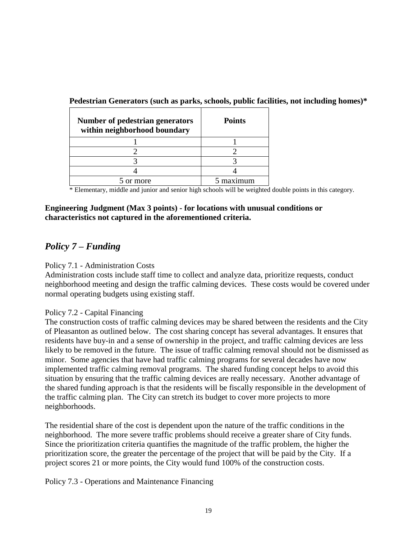| <b>Number of pedestrian generators</b><br>within neighborhood boundary | <b>Points</b> |
|------------------------------------------------------------------------|---------------|
|                                                                        |               |
|                                                                        |               |
|                                                                        |               |
|                                                                        |               |
| more                                                                   |               |

**Pedestrian Generators (such as parks, schools, public facilities, not including homes)\***

\* Elementary, middle and junior and senior high schools will be weighted double points in this category.

#### **Engineering Judgment (Max 3 points) - for locations with unusual conditions or characteristics not captured in the aforementioned criteria.**

### *Policy 7 – Funding*

#### Policy 7.1 - Administration Costs

Administration costs include staff time to collect and analyze data, prioritize requests, conduct neighborhood meeting and design the traffic calming devices. These costs would be covered under normal operating budgets using existing staff.

#### Policy 7.2 - Capital Financing

The construction costs of traffic calming devices may be shared between the residents and the City of Pleasanton as outlined below. The cost sharing concept has several advantages. It ensures that residents have buy-in and a sense of ownership in the project, and traffic calming devices are less likely to be removed in the future. The issue of traffic calming removal should not be dismissed as minor. Some agencies that have had traffic calming programs for several decades have now implemented traffic calming removal programs. The shared funding concept helps to avoid this situation by ensuring that the traffic calming devices are really necessary. Another advantage of the shared funding approach is that the residents will be fiscally responsible in the development of the traffic calming plan. The City can stretch its budget to cover more projects to more neighborhoods.

The residential share of the cost is dependent upon the nature of the traffic conditions in the neighborhood. The more severe traffic problems should receive a greater share of City funds. Since the prioritization criteria quantifies the magnitude of the traffic problem, the higher the prioritization score, the greater the percentage of the project that will be paid by the City. If a project scores 21 or more points, the City would fund 100% of the construction costs.

Policy 7.3 - Operations and Maintenance Financing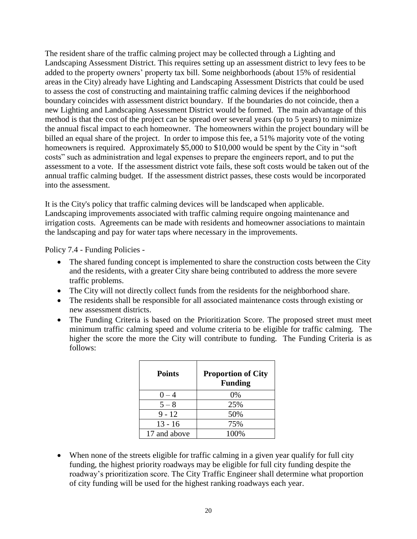The resident share of the traffic calming project may be collected through a Lighting and Landscaping Assessment District. This requires setting up an assessment district to levy fees to be added to the property owners' property tax bill. Some neighborhoods (about 15% of residential areas in the City) already have Lighting and Landscaping Assessment Districts that could be used to assess the cost of constructing and maintaining traffic calming devices if the neighborhood boundary coincides with assessment district boundary. If the boundaries do not coincide, then a new Lighting and Landscaping Assessment District would be formed. The main advantage of this method is that the cost of the project can be spread over several years (up to 5 years) to minimize the annual fiscal impact to each homeowner. The homeowners within the project boundary will be billed an equal share of the project. In order to impose this fee, a 51% majority vote of the voting homeowners is required. Approximately \$5,000 to \$10,000 would be spent by the City in "soft costs" such as administration and legal expenses to prepare the engineers report, and to put the assessment to a vote. If the assessment district vote fails, these soft costs would be taken out of the annual traffic calming budget. If the assessment district passes, these costs would be incorporated into the assessment.

It is the City's policy that traffic calming devices will be landscaped when applicable. Landscaping improvements associated with traffic calming require ongoing maintenance and irrigation costs. Agreements can be made with residents and homeowner associations to maintain the landscaping and pay for water taps where necessary in the improvements.

Policy 7.4 - Funding Policies -

- The shared funding concept is implemented to share the construction costs between the City and the residents, with a greater City share being contributed to address the more severe traffic problems.
- The City will not directly collect funds from the residents for the neighborhood share.
- The residents shall be responsible for all associated maintenance costs through existing or new assessment districts.
- The Funding Criteria is based on the Prioritization Score. The proposed street must meet minimum traffic calming speed and volume criteria to be eligible for traffic calming. The higher the score the more the City will contribute to funding. The Funding Criteria is as follows:

| <b>Points</b> | <b>Proportion of City</b><br><b>Funding</b> |
|---------------|---------------------------------------------|
| $0 - 4$       | 0%                                          |
| $5 - 8$       | 25%                                         |
| $9 - 12$      | 50%                                         |
| $13 - 16$     | 75%                                         |
| 17 and above  | 100%                                        |

 When none of the streets eligible for traffic calming in a given year qualify for full city funding, the highest priority roadways may be eligible for full city funding despite the roadway's prioritization score. The City Traffic Engineer shall determine what proportion of city funding will be used for the highest ranking roadways each year.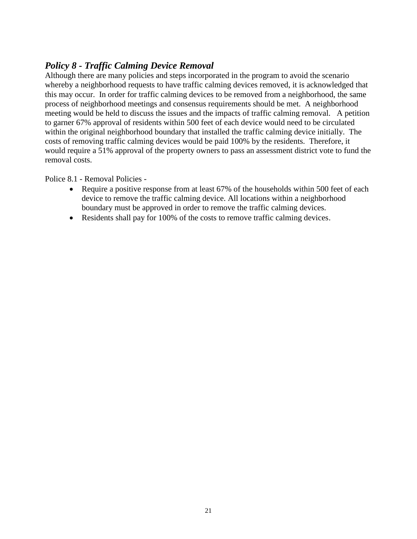### *Policy 8 - Traffic Calming Device Removal*

Although there are many policies and steps incorporated in the program to avoid the scenario whereby a neighborhood requests to have traffic calming devices removed, it is acknowledged that this may occur. In order for traffic calming devices to be removed from a neighborhood, the same process of neighborhood meetings and consensus requirements should be met. A neighborhood meeting would be held to discuss the issues and the impacts of traffic calming removal. A petition to garner 67% approval of residents within 500 feet of each device would need to be circulated within the original neighborhood boundary that installed the traffic calming device initially. The costs of removing traffic calming devices would be paid 100% by the residents. Therefore, it would require a 51% approval of the property owners to pass an assessment district vote to fund the removal costs.

Police 8.1 - Removal Policies -

- Require a positive response from at least 67% of the households within 500 feet of each device to remove the traffic calming device. All locations within a neighborhood boundary must be approved in order to remove the traffic calming devices.
- Residents shall pay for 100% of the costs to remove traffic calming devices.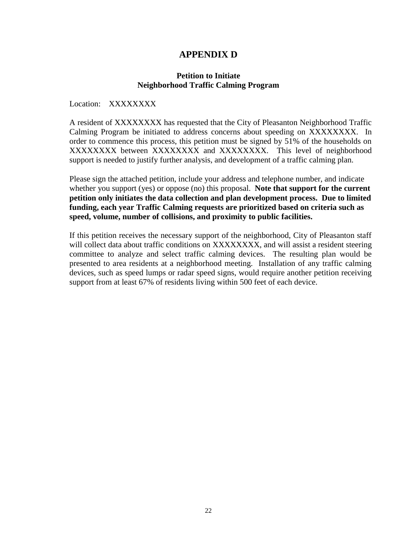### **APPENDIX D**

#### **Petition to Initiate Neighborhood Traffic Calming Program**

Location: XXXXXXXX

A resident of XXXXXXXX has requested that the City of Pleasanton Neighborhood Traffic Calming Program be initiated to address concerns about speeding on XXXXXXXX. In order to commence this process, this petition must be signed by 51% of the households on XXXXXXXX between XXXXXXXX and XXXXXXXX. This level of neighborhood support is needed to justify further analysis, and development of a traffic calming plan.

Please sign the attached petition, include your address and telephone number, and indicate whether you support (yes) or oppose (no) this proposal. **Note that support for the current petition only initiates the data collection and plan development process. Due to limited funding, each year Traffic Calming requests are prioritized based on criteria such as speed, volume, number of collisions, and proximity to public facilities.**

If this petition receives the necessary support of the neighborhood, City of Pleasanton staff will collect data about traffic conditions on XXXXXXXX, and will assist a resident steering committee to analyze and select traffic calming devices. The resulting plan would be presented to area residents at a neighborhood meeting. Installation of any traffic calming devices, such as speed lumps or radar speed signs, would require another petition receiving support from at least 67% of residents living within 500 feet of each device.